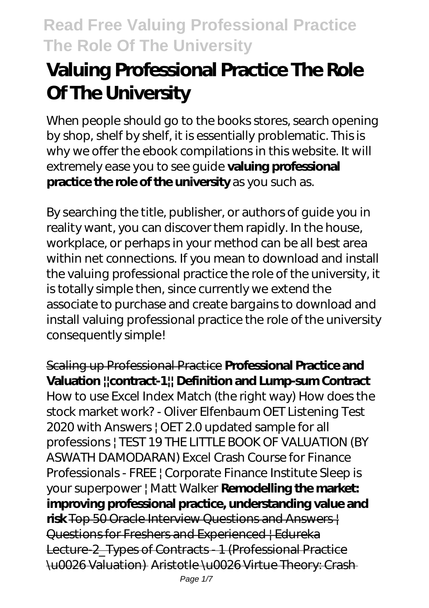# **Valuing Professional Practice The Role Of The University**

When people should go to the books stores, search opening by shop, shelf by shelf, it is essentially problematic. This is why we offer the ebook compilations in this website. It will extremely ease you to see guide **valuing professional practice the role of the university** as you such as.

By searching the title, publisher, or authors of guide you in reality want, you can discover them rapidly. In the house, workplace, or perhaps in your method can be all best area within net connections. If you mean to download and install the valuing professional practice the role of the university, it is totally simple then, since currently we extend the associate to purchase and create bargains to download and install valuing professional practice the role of the university consequently simple!

Scaling up Professional Practice **Professional Practice and Valuation ||contract-1|| Definition and Lump-sum Contract** How to use Excel Index Match (the right way) *How does the stock market work? - Oliver Elfenbaum* OET Listening Test 2020 with Answers | OET 2.0 updated sample for all professions | TEST 19 *THE LITTLE BOOK OF VALUATION (BY ASWATH DAMODARAN) Excel Crash Course for Finance Professionals - FREE | Corporate Finance Institute Sleep is your superpower | Matt Walker* **Remodelling the market: improving professional practice, understanding value and risk** Top 50 Oracle Interview Questions and Answers | Questions for Freshers and Experienced | Edureka Lecture-2\_Types of Contracts - 1 (Professional Practice \u0026 Valuation) Aristotle \u0026 Virtue Theory: Crash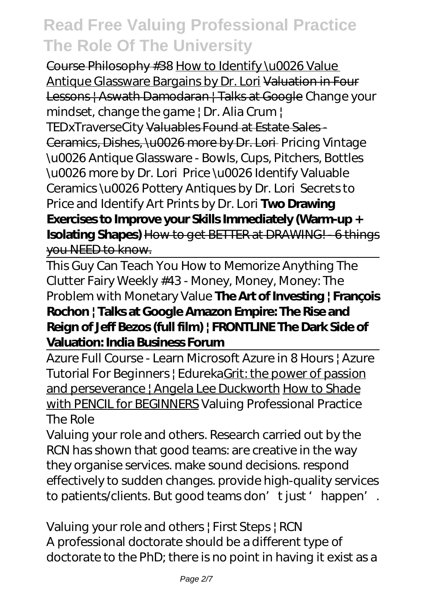Course Philosophy #38 How to Identify \u0026 Value Antique Glassware Bargains by Dr. Lori Valuation in Four Lessons | Aswath Damodaran | Talks at Google Change your mindset, change the game | Dr. Alia Crum | TEDxTraverseCity Valuables Found at Estate Sales - Ceramics, Dishes, \u0026 more by Dr. Lori *Pricing Vintage \u0026 Antique Glassware - Bowls, Cups, Pitchers, Bottles \u0026 more by Dr. Lori Price \u0026 Identify Valuable Ceramics \u0026 Pottery Antiques by Dr. Lori* Secrets to Price and Identify Art Prints by Dr. Lori **Two Drawing Exercises to Improve your Skills Immediately (Warm-up + Isolating Shapes)** How to get BETTER at DRAWING! - 6 things you NEED to know.

This Guy Can Teach You How to Memorize Anything The Clutter Fairy Weekly #43 - Money, Money, Money: The Problem with Monetary Value **The Art of Investing | François Rochon | Talks at Google Amazon Empire: The Rise and Reign of Jeff Bezos (full film) | FRONTLINE The Dark Side of Valuation: India Business Forum**

Azure Full Course - Learn Microsoft Azure in 8 Hours | Azure Tutorial For Beginners | EdurekaGrit: the power of passion and perseverance | Angela Lee Duckworth How to Shade with PENCIL for BEGINNERS *Valuing Professional Practice The Role*

Valuing your role and others. Research carried out by the RCN has shown that good teams: are creative in the way they organise services. make sound decisions. respond effectively to sudden changes. provide high-quality services to patients/dients. But good teams don't just 'happen'.

*Valuing your role and others | First Steps | RCN* A professional doctorate should be a different type of doctorate to the PhD; there is no point in having it exist as a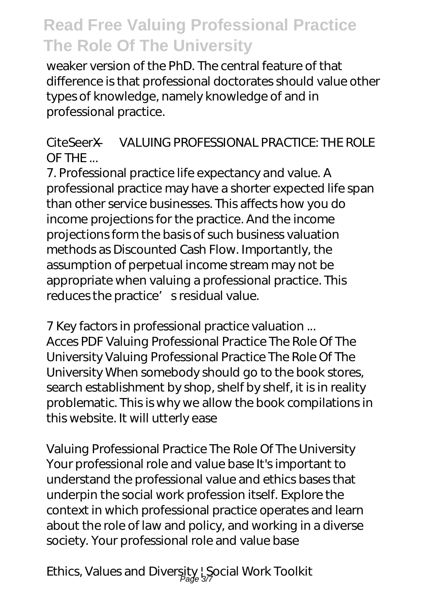weaker version of the PhD. The central feature of that difference is that professional doctorates should value other types of knowledge, namely knowledge of and in professional practice.

#### *CiteSeerX — VALUING PROFESSIONAL PRACTICE: THE ROLE OF THE ...*

7. Professional practice life expectancy and value. A professional practice may have a shorter expected life span than other service businesses. This affects how you do income projections for the practice. And the income projections form the basis of such business valuation methods as Discounted Cash Flow. Importantly, the assumption of perpetual income stream may not be appropriate when valuing a professional practice. This reduces the practice' s residual value.

*7 Key factors in professional practice valuation ...* Acces PDF Valuing Professional Practice The Role Of The University Valuing Professional Practice The Role Of The University When somebody should go to the book stores, search establishment by shop, shelf by shelf, it is in reality problematic. This is why we allow the book compilations in this website. It will utterly ease

*Valuing Professional Practice The Role Of The University* Your professional role and value base It's important to understand the professional value and ethics bases that underpin the social work profession itself. Explore the context in which professional practice operates and learn about the role of law and policy, and working in a diverse society. Your professional role and value base

*Ethics, Values and Diversity | Social Work Toolkit* Page 3/7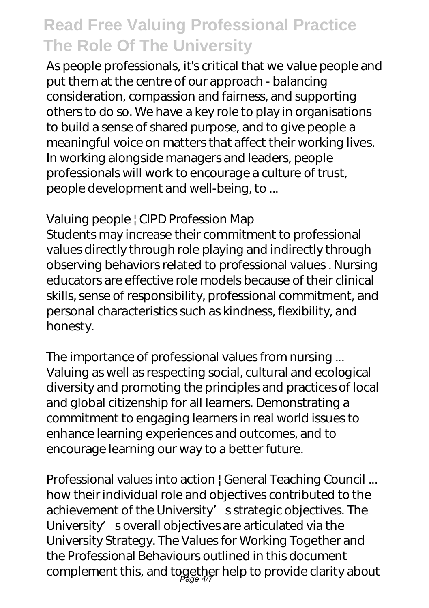As people professionals, it's critical that we value people and put them at the centre of our approach - balancing consideration, compassion and fairness, and supporting others to do so. We have a key role to play in organisations to build a sense of shared purpose, and to give people a meaningful voice on matters that affect their working lives. In working alongside managers and leaders, people professionals will work to encourage a culture of trust, people development and well-being, to ...

#### *Valuing people | CIPD Profession Map*

Students may increase their commitment to professional values directly through role playing and indirectly through observing behaviors related to professional values . Nursing educators are effective role models because of their clinical skills, sense of responsibility, professional commitment, and personal characteristics such as kindness, flexibility, and honesty.

*The importance of professional values from nursing ...* Valuing as well as respecting social, cultural and ecological diversity and promoting the principles and practices of local and global citizenship for all learners. Demonstrating a commitment to engaging learners in real world issues to enhance learning experiences and outcomes, and to encourage learning our way to a better future.

*Professional values into action | General Teaching Council ...* how their individual role and objectives contributed to the achievement of the University' s strategic objectives. The University' soverall objectives are articulated via the University Strategy. The Values for Working Together and the Professional Behaviours outlined in this document complement this, and together help to provide clarity about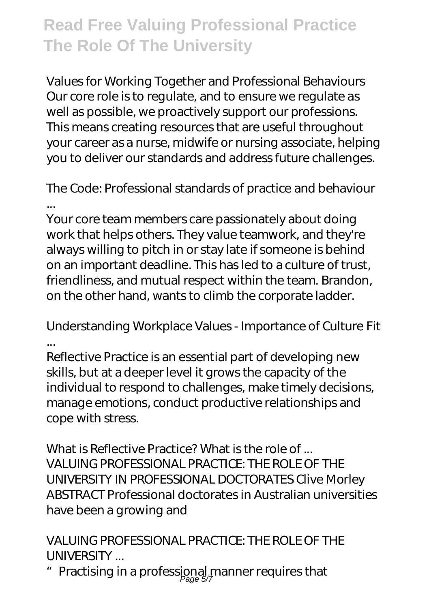*Values for Working Together and Professional Behaviours* Our core role is to regulate, and to ensure we regulate as well as possible, we proactively support our professions. This means creating resources that are useful throughout your career as a nurse, midwife or nursing associate, helping you to deliver our standards and address future challenges.

#### *The Code: Professional standards of practice and behaviour ...*

Your core team members care passionately about doing work that helps others. They value teamwork, and they're always willing to pitch in or stay late if someone is behind on an important deadline. This has led to a culture of trust, friendliness, and mutual respect within the team. Brandon, on the other hand, wants to climb the corporate ladder.

#### *Understanding Workplace Values - Importance of Culture Fit ...*

Reflective Practice is an essential part of developing new skills, but at a deeper level it grows the capacity of the individual to respond to challenges, make timely decisions, manage emotions, conduct productive relationships and cope with stress.

#### *What is Reflective Practice? What is the role of ...*

VALUING PROFESSIONAL PRACTICE: THE ROLE OF THE UNIVERSITY IN PROFESSIONAL DOCTORATES Clive Morley ABSTRACT Professional doctorates in Australian universities have been a growing and

#### *VALUING PROFESSIONAL PRACTICE: THE ROLE OF THE UNIVERSITY ...*

 $\text{\textdegree}$  Practising in a professional manner requires that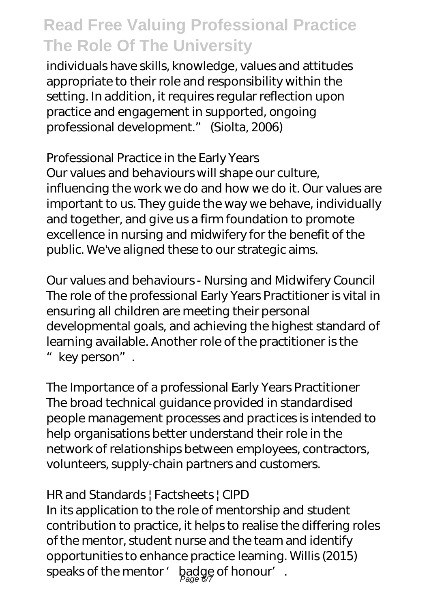individuals have skills, knowledge, values and attitudes appropriate to their role and responsibility within the setting. In addition, it requires regular reflection upon practice and engagement in supported, ongoing professional development." (Siolta, 2006)

#### *Professional Practice in the Early Years*

Our values and behaviours will shape our culture, influencing the work we do and how we do it. Our values are important to us. They guide the way we behave, individually and together, and give us a firm foundation to promote excellence in nursing and midwifery for the benefit of the public. We've aligned these to our strategic aims.

*Our values and behaviours - Nursing and Midwifery Council* The role of the professional Early Years Practitioner is vital in ensuring all children are meeting their personal developmental goals, and achieving the highest standard of learning available. Another role of the practitioner is the "key person".

*The Importance of a professional Early Years Practitioner* The broad technical guidance provided in standardised people management processes and practices is intended to help organisations better understand their role in the network of relationships between employees, contractors, volunteers, supply-chain partners and customers.

#### *HR and Standards | Factsheets | CIPD*

In its application to the role of mentorship and student contribution to practice, it helps to realise the differing roles of the mentor, student nurse and the team and identify opportunities to enhance practice learning. Willis (2015) speaks of the mentor ' badge of honour'.